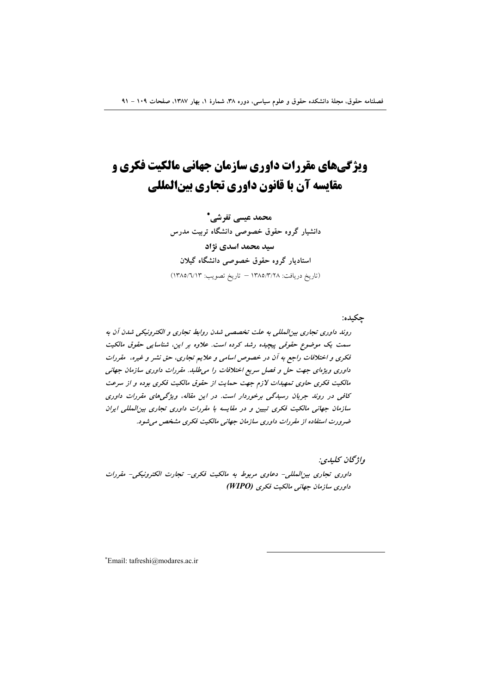# **ویژگیهای مقررات داوری سازمان جهانی مالکیت فکری و** مقایسه آن با قانون داوری تجاری بینالمللی

محمد عیسی تفرشی \* دانشیار گروه حقوق خصوصی دانشگاه تربیت مدرس سید محمد اسدی نژاد استادیار گروه حقوق خصوصی دانشگاه گیلان (تاريخ دريافت: ١٣٨٥/٣/٢٨ – تاريخ تصويب: ١٣٨٥/٦/١٣)

چکیده: روند داوری تجاری بین المللی به علت تخصصی شدن روابط تجاری و الکترونیکی شدن آن به سمت یک موضوع حقوقی پیچیده رشد کرده است. علاوه بر این، شناسایی حقوق مالکیت فکری و اختلافات راجع به آن در خصوص اسامی و علایم تجاری، حق نشر و غیره، مقررات داوری ویژهای جهت حل و فصل سریع اختلافات را می طلبد. مقررات داوری سازمان جهانی مالکیت فکری حاوی تمهیدات لازم جهت حمایت از حقوق مالکیت فکری بوده و از سرعت کافی در روند جریان رسیدگی برخوردار است. در این مقاله، ویژگی های مقررات داوری سازمان جهانی مالکیت فکری تبیین و در مقایسه با مقررات داوری تجاری بین المللی ایران ضرورت استفاده از مقررات داوری سازمان جهانی مالکیت فکری مشخص می شود.

واژىخان كىلىدى:

داوري تجاري بين المللي- دعاوي مربوط به مالكيت فكري- تجارت الكترونيكي- مقررات داوری سازمان جهانی مالکیت فکری (WIPO)

\*Email: tafreshi@modares.ac.ir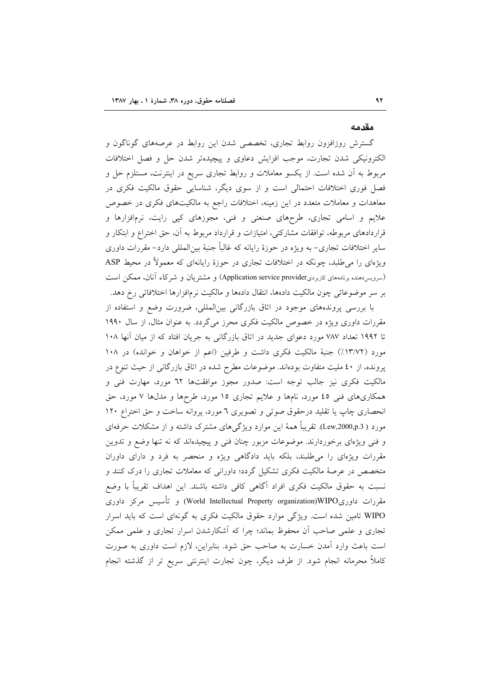#### مقدمه

گسترش روزافزون روابط تجارى، تخصصى شدن اين روابط در عرصههاى گوناگون و الكترونيكي شدن تجارت، موجب افزايش دعاوى و پيچيدهتر شدن حل و فصل اختلافات مربوط به أن شده است. از یکسو معاملات و روابط تجاری سریع در اینترنت، مستلزم حل و فصل فوری اختلافات احتمالی است و از سوی دیگر، شناسایی حقوق مالکیت فکری در معاهدات و معاملات متعدد در این زمینه، اختلافات راجع به مالکیتهای فکری در خصوص علایم و اسامی تجاری، طرحهای صنعتی و فنی، مجوزهای کپی رایت، نرمافزارها و قراردادهای مربوطه، توافقات مشارکتی، امتیازات و قرارداد مربوط به آن، حق اختراع و ابتکار و سایر اختلافات تجاری– به ویژه در حوزهٔ رایانه که غالباً جنبهٔ بین|لمللی دارد– مقررات داوری ویژهای را می طلبد، چونکه در اختلافات تجاری در حوزهٔ رایانهای که معمولاً در محیط ASP (سرویس دهنده برنامههای کاربردیApplication service provider) و مشتریان و شرکاء آنان، ممکن است بر سر موضوعاتی چون مالکیت دادهها، انتقال دادهها و مالکیت نرمافزارها اختلافاتی رخ دهد.

با بررسی پروندههای موجود در اتاق بازرگانی بینالمللی، ضرورت وضع و استفاده از مقررات داوری ویژه در خصوص مالکیت فکری محرز می گردد. به عنوان مثال، از سال ۱۹۹۰ تا ۱۹۹۲ تعداد ۷۸۷ مورد دعوای جدید در اتاق بازرگانی به جریان افتاد که از میان آنها ۱۰۸ مورد (١٣/٧٢٪) جنبهٔ مالکیت فکری داشت و طرفین (اعم از خواهان و خوانده) در ١٠٨ پرونده، از ٤٠ مليت متفاوت بودهاند. موضوعات مطرح شده در اتاق بازرگاني از حيث تنوع در مالکیت فکری نیز جالب توجه است: صدور مجوز موافقتها ٦٢ مورد، مهارت فنی و همکاریهای فنی ٤٥ مورد، نامها و علایم تجاری ١٥ مورد، طرحها و مدلها ٧ مورد، حق انحصاری چاپ یا تقلید درحقوق صوتی و تصویری ٦ مورد، پروانه ساخت و حق اختراع ١٢٠ مورد ( Lew,2000,p.3). تقریباً همهٔ این موارد ویژگیهای مشترک داشته و از مشکلات حرفهای و فنی ویژهای برخوردارند. موضوعات مزبور چنان فنی و پیچیدهاند که نه تنها وضع و تدوین مقررات ویژهای را می طلبند، بلکه باید دادگاهی ویژه و منحصر به فرد و دارای داوران متخصص در عرصهٔ مالکیت فکری تشکیل گردد؛ داورانی که معاملات تجاری را درک کنند و نسبت به حقوق مالكيت فكرى افراد آگاهي كافي داشته باشند. اين اهداف تقريباً با وضع مقررات داوریWorld Intellectual Property organization)WIPO و تأسیس مرکز داوری WIPO تامین شده است. ویژگی موارد حقوق مالکیت فکری به گونهای است که باید اسرار تجاری و علمی صاحب آن محفوظ بماند؛ چرا که آشکارشدن اسرار تجاری و علمی ممکن است باعث وارد آمدن خسارت به صاحب حق شود. بنابراین، لازم است داوری به صورت کاملاً محرمانه انجام شود. از طرف دیگر، چون تجارت اینترنتی سریع تر از گذشته انجام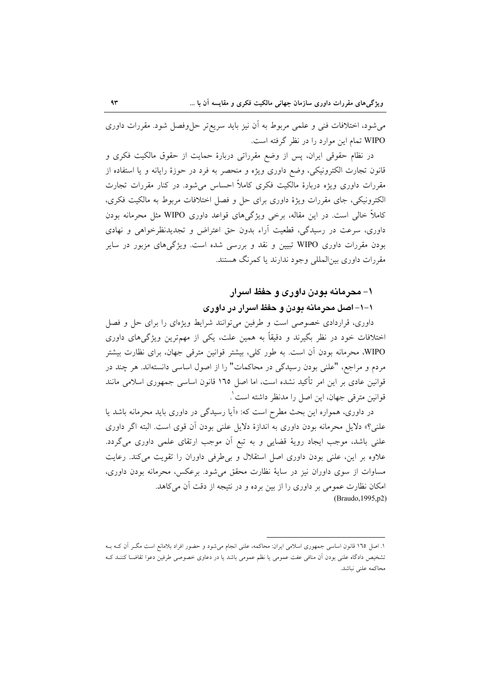می شود، اختلافات فنی و علمی مربوط به آن نیز باید سریع تر حل وفصل شود. مقررات داوری WIPO تمام این موارد را در نظر گرفته است.

در نظام حقوقی ایران، پس از وضع مقرراتی دربارهٔ حمایت از حقوق مالکیت فکری و قانون تجارت الکترونیکی، وضع داوری ویژه و منحصر به فرد در حوزهٔ رایانه و یا استفاده از مقررات داوری ویژه دربارهٔ مالکیت فکری کاملاً احساس میشود. در کنار مقررات تجارت الكترونيكي، جاي مقررات ويژهٔ داوري براي حل و فصل اختلافات مربوط به مالكيت فكرى، کاملاً خالی است. در این مقاله، برخی ویژگیهای قواعد داوری WIPO مثل محرمانه بودن داوري، سرعت در رسيدگي، قطعيت آراء بدون حق اعتراض و تجديدنظرخواهي و نهادي بودن مقررات داوری WIPO تبیین و نقد و بررسی شده است. ویژگیهای مزبور در سایر مقررات داوري بين|لمللي وجود ندارند يا كمرنگ هستند.

#### ۱– محرمانه بودن داوری و حفظ اسرار

### ۱–۱– اصل محرمانه بودن و حفظ اسرار در داوری

داوری، قراردادی خصوصی است و طرفین میتوانند شرایط ویژهای را برای حل و فصل اختلافات خود در نظر بگیرند و دقیقاً به همین علت، یکی از مهمترین ویژگیهای داوری WIPO، محرمانه بودن آن است. به طور كلي، بيشتر قوانين مترقى جهان، براى نظارت بيشتر مردم و مراجع، "علني بودن رسيدگي در محاكمات" را از اصول اساسي دانستهاند. هر چند در قوانین عادی بر این امر تأکید نشده است، اما اصل ١٦٥ قانون اساسی جمهوری اسلامی مانند قوانين مترقى جهان، اين اصل را مدنظر داشته است`.

در داوری، همواره این بحث مطرح است که: «اَیا رسیدگی در داوری باید محرمانه باشد یا علني؟» دلايل محرمانه بودن داوري به اندازهٔ دلايل علني بودن آن قوى است. البته اگر داوري علنی باشد، موجب ایجاد رویهٔ قضایی و به تبع آن موجب ارتقای علمی داوری میگردد. علاوه بر این، علنی بودن داوری اصل استقلال و بی طرفی داوران را تقویت میکند. رعایت مساوات از سوی داوران نیز در سایهٔ نظارت محقق میشود. برعکس، محرمانه بودن داوری، امکان نظارت عمومی بر داوری را از بین برده و در نتیجه از دقت آن می کاهد. (Braudo, 1995, p2)

۱. اصل ۱۳۵ قانون اساسی جمهوری اسلامی ایران: محاکمه، علنی انجام میشود و حضور افراد بلامانع است مگـر آن کـه بــه تشخيص دادگاه علني بودن اّن منافي عفت عمومي يا نظم عمومي باشد يا در دعاوى خصوصي طرفين دعوا تقاضـا كننـد كـه محاكمه علني نباشد.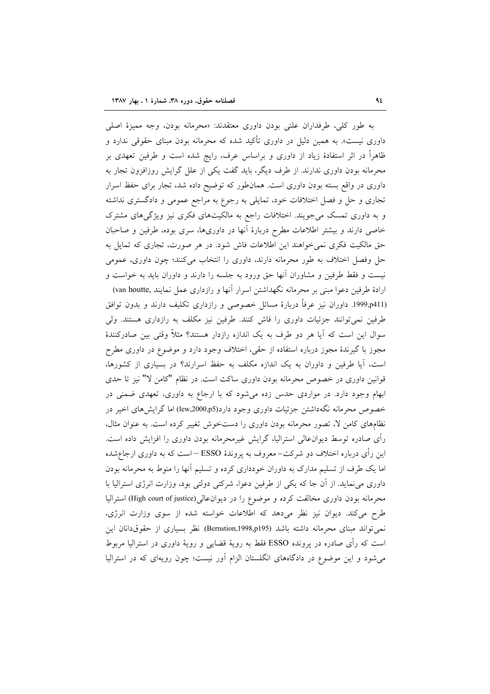به طور كلي، طرفداران علني بودن داوري معتقدند: «محرمانه بودن، وجه مميزة اصلي داوری نیست». به همین دلیل در داوری تأکید شده که محرمانه بودن مبنای حقوقی ندارد و ظاهراً در اثر استفادهٔ زیاد از داوری و براساس عرف، رایج شده است و طرفین تعهدی بر محرمانه بودن داوری ندارند. از طرف دیگر، باید گفت یکی از علل گرایش روزافزون تجار به داوری در واقع بسته بودن داوری است. همانطور که توضیح داده شد، تجار برای حفظ اسرار تجاری و حل و فصل اختلافات خود، تمایلی به رجوع به مراجع عمومی و دادگستری نداشته و به داوری تمسک می جویند. اختلافات راجع به مالکیتهای فکری نیز ویژگیهای مشترک خاصی دارند و بیشتر اطلاعات مطرح دربارهٔ آنها در داوریها، سری بوده، طرفین و صاحبان حق مالکیت فکری نمیخواهند این اطلاعات فاش شود. در هر صورت، تجاری که تمایل به حل وفصل اختلاف به طور محرمانه دارند، داوری را انتخاب میکنند؛ چون داوری، عمومی نیست و فقط طرفین و مشاوران آنها حق ورود به جلسه را دارند و داوران باید به خواست و ارادهٔ طرفین دعوا مبنی بر محرمانه نگهداشتن اسرار آنها و رازداری عمل نمایند ,van houtte) (1999,p411. داوران نیز عرفاً دربارهٔ مسائل خصوصی و رازداری تکلیف دارند و بدون توافق طرفین نمی توانند جزئیات داوری را فاش کنند. طرفین نیز مکلف به رازداری هستند. ولی سوال این است که آیا هر دو طرف به یک اندازه رازدار هستند؟ مثلاً وقتی بین صادرکنندهٔ مجوز با گیرندهٔ مجوز درباره استفاده از حقی، اختلاف وجود دارد و موضوع در داوری مطرح است، آیا طرفین و داوران به یک اندازه مکلف به حفظ اسرارند؟ در بسیاری از کشورها، قوانین داوری در خصوص محرمانه بودن داوری ساکت است. در نظام "کامن لا" نیز تا حدی ابهام وجود دارد. در مواردی حدس زده میشود که با ارجاع به داوری، تعهدی ضمنی در خصوص محرمانه نگهداشتن جزئیات داوری وجود دارد(lew,2000,p5) اما گرایشهای اخیر در نظامهای کامن لا، تصور محرمانه بودن داوری را دستخوش تغییر کرده است. به عنوان مثال، رأى صادره توسط ديوانءالي استراليا، گرايش غيرمحرمانه بودن داوري را افزايش داده است. این رأی درباره اختلاف دو شرکت– معروف به پروندهٔ ESSO – است که به داوری ارجاع:شده اما یک طرف از تسلیم مدارک به داوران خودداری کرده و تسلیم آنها را منوط به محرمانه بودن داوری می نماید. از آن جا که یکی از طرفین دعوا، شرکتی دولتی بود، وزارت انرژی استرالیا با محرمانه بودن داوری مخالفت کرده و موضوع را در دیوان عالی(High court of justice) استرالیا طرح می کند. دیوان نیز نظر میدهد که اطلاعات خواسته شده از سوی وزارت انرژی، نمي تواند مبناي محرمانه داشته باشد (Bernstion,1998,p195). نظر بسياري از حقوق(انان اين است که رأی صادره در پرونده ESSO فقط به رویهٔ قضایی و رویهٔ داوری در استرالیا مربوط

می شود و این موضوع در دادگاههای انگلستان الزام آور نیست؛ چون رویهای که در استرالیا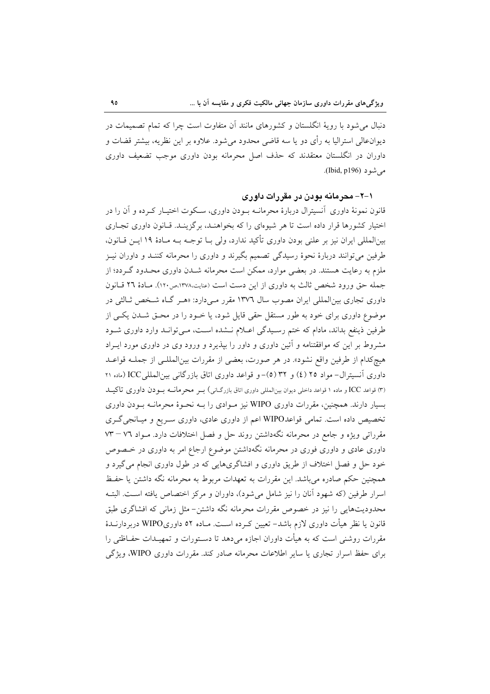دنبال می شود با رویهٔ انگلستان و کشورهای مانند آن متفاوت است چرا که تمام تصمیمات در دیوانءالی استرالیا به رأی دو یا سه قاضی محدود می شود. علاوه بر این نظریه، بیشتر قضات و داوران در انگلستان معتقدند که حذف اصل محرمانه بودن داوری موجب تضعیف داوری می شو د (Ibid, p196).

۰۱–۲ محرمانه بودن در مقررات داوری

قانون نمونهٔ داوری آنسیترال دربارهٔ محرمانــه بــودن داوری، ســکوت اختیــار کــرده و آن را در اختیار کشورها قرار داده است تا هر شیوهای را که بخواهنـد، برگزینـد. قـانون داوری تجـاری بين|لمللي ايران نيز بر علني بودن داوري تأكيد ندارد، ولي بــا توجــه بــه مــادهٔ ١٩ ايــن قــانون، طرفین میتوانند دربارهٔ نحوهٔ رسیدگی تصمیم بگیرند و داوری را محرمانه کننـد و داوران نیـز ملزم به رعایت هستند. در بعضی موارد، ممکن است محرمانه شــدن داوری محــدود گــردد؛ از جمله حق ورود شخص ثالث به داوری از این دست است (عنایت،۱۳۷۸،ص۱۲۰). مبادهٔ ۲۲ قبانون داوری تجاری بین المللی ایران مصوب سال ۱۳۷۲ مقرر مـیدارد: «هـر گـاه شـخص ثـالثی در موضوع داوری برای خود به طور مستقل حقی قایل شود، یا خـود را در محـق شـدن یکـی از طرفین ذینفع بداند، مادام که ختم رسیدگی اعبلام نــشده اسـت، مــی توانــد وارد داوری شــود مشروط بر این که موافقتنامه و آئین داوری و داور را بپذیرد و ورود وی در داوری مورد ایـراد هيچكدام از طرفين واقع نشود». در هر صورت، بعضي از مقررات بين|لمللـي از جملــه قواعــد داوری آنسیترال- مواد ٢٥ (٤) و ٣٢ (٥)- و قواعد داوری اتاق بازرگانی بین المللی ICC (ماده ٢١ (٣) قواعد ICC و ماده ١ قواعد داخلي ديوان بين|لمللي داوري اتاق بازرگ|ني) بــر محر مانــه بــودن داوري تاكيــد بسیار دارند. همچنین، مقررات داوری WIPO نیز مـوادی را بــه نحـوهٔ محرمانــه بــودن داوری تخصیص داده است. تمامی قواعدWIPO اعم از داوری عادی، داوری سریع و میـانجی گـری مقرراتی ویژه و جامع در محرمانه نگهداشتن روند حل و فصل اختلافات دارد. مـواد ۷۲ – ۷۳ داوری عادی و داوری فوری در محرمانه نگهداشتن موضوع ارجاع امر به داوری در خـصوص خود حل و فصل اختلاف از طریق داوری و افشاگریهایی که در طول داوری انجام می گیرد و همچنین حکم صادره می باشد. این مقررات به تعهدات مربوط به محرمانه نگه داشتن یا حفظ اسرار طرفین (که شهود آنان را نیز شامل می شود)، داوران و مرکز اختصاص یافته است. البتـه محدودیتهایی را نیز در خصوص مقررات محرمانه نگه داشتن–مثل زمانی که افشاگری طبق قانون یا نظر هیأت داوری لازم باشد– تعیین کـرده اسـت. مـاده ٥٢ داوریWIPO دربردارنــدهٔ مقررات روشنی است که به هیأت داوران اجازه میٖدهد تا دسـتورات و تمهیـدات حفــاظتی را برای حفظ اسرار تجاری یا سایر اطلاعات محرمانه صادر کند. مقررات داوری WIPO، ویژگی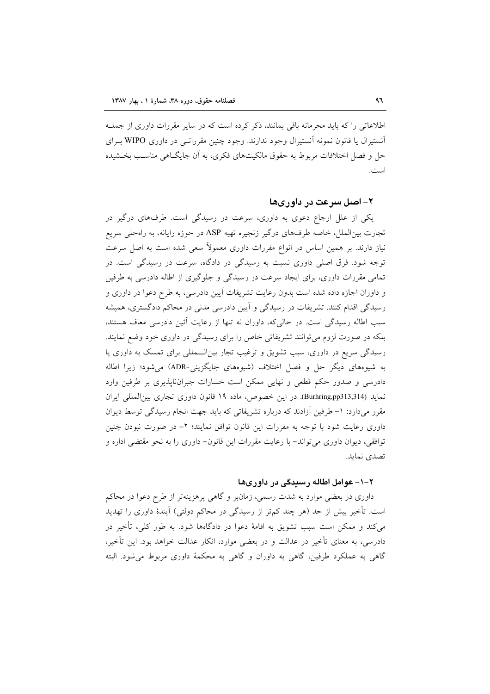اطلاعاتی را که باید محرمانه باقی بمانند، ذکر کرده است که در سایر مقررات داوری از جملـه آنستیرال یا قانون نمونه آنستیرال وجود ندارند. وجود چنین مقرراتبی در داوری WIPO بیرای حل و فصل اختلافات مربوط به حقوق مالکیتهای فکری، به آن جایگـاهی مناسـب بخـشیده است.

#### ۲– اصل سرعت در داوریها

یکی از علل ارجاع دعوی به داوری، سرعت در رسیدگی است. طرفهای درگیر در تجارت بینالملل، خاصه طرفهای درگیر زنجیره تهیه ASP در حوزه رایانه، به راهحلی سریع نیاز دارند. بر همین اساس در انواع مقررات داوری معمولاً سعی شده است به اصل سرعت توجه شود. فرق اصلی داوری نسبت به رسیدگی در دادگاه، سرعت در رسیدگی است. در تمامی مقررات داوری، برای ایجاد سرعت در رسیدگی و جلوگیری از اطاله دادرسی به طرفین و داوران اجازه داده شده است بدون رعایت تشریفات آیین دادرسی، به طرح دعوا در داوری و رسیدگی اقدام کنند. تشریفات در رسیدگی و آیین دادرسی مدنی در محاکم دادگستری، همیشه سبب اطاله رسیدگی است. در حالی که، داوران نه تنها از رعایت آئین دادرسی معاف هستند، بلکه در صورت لزوم می توانند تشریفاتی خاص را برای رسیدگی در داوری خود وضع نمایند. رسیدگی سریع در داوری، سبب تشویق و ترغیب تجار بینالـمللی برای تمسک به داوری یا به شیوههای دیگر حل و فصل اختلاف (شیوههای جایگزینی-ADR) می شود؛ زیرا اطاله دادرسی و صدور حکم قطعی و نهایی ممکن است خسارات جبران ناپذیری بر طرفین وارد نمايد (Burhring,pp313,314). در اين خصوص، ماده ١٩ قانون داوري تجاري بين المللي ايران مقرر میدارد: ١- طرفین آزادند که درباره تشریفاتی که باید جهت انجام رسیدگی توسط دیوان داوری رعایت شود با توجه به مقررات این قانون توافق نمایند؛ ۲– در صورت نبودن چنین توافقی، دیوان داوری می تواند– با رعایت مقررات این قانون– داوری را به نحو مقتضی اداره و تصدي نمايد.

#### ۲–۱– عوامل اطاله رسېدگی در داوړیها

داوری در بعضی موارد به شدت رسمی، زمانبر و گاهی پرهزینهتر از طرح دعوا در محاکم است. تأخیر بیش از حد (هر چند کم تر از رسیدگی در محاکم دولتی) آیندهٔ داوری را تهدید میکند و ممکن است سبب تشویق به اقامهٔ دعوا در دادگاهها شود. به طور کلی، تأخیر در دادرسی، به معنای تأخیر در عدالت و در بعضی موارد، انکار عدالت خواهد بود. این تأخیر، گاهی به عملکرد طرفین، گاهی به داوران و گاهی به محکمهٔ داوری مربوط می شود. البته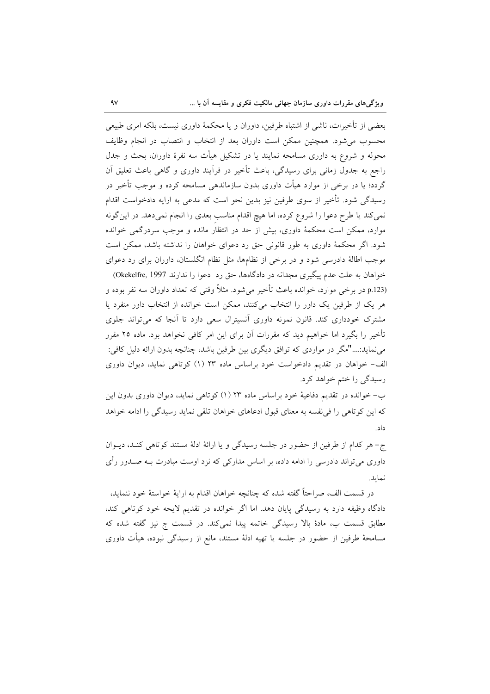بعضي از تأخيرات، ناشي از اشتباه طرفين، داوران و يا محكمهٔ داوري نيست، بلكه امري طبيعي محسوب می شود. همچنین ممکن است داوران بعد از انتخاب و انتصاب در انجام وظایف محوله و شروع به داوری مسامحه نمایند یا در تشکیل هیأت سه نفرهٔ داوران، بحث و جدل راجع به جدول زمانی برای رسیدگی، باعث تأخیر در فرآیند داوری و گاهی باعث تعلیق آن گردد؛ یا در برخی از موارد هیأت داوری بدون سازماندهی مسامحه کرده و موجب تأخیر در رسیدگی شود. تأخیر از سوی طرفین نیز بدین نحو است که مدعی به ارایه دادخواست اقدام نمی کند یا طرح دعوا را شروع کرده، اما هیچ اقدام مناسب بعدی را انجام نمیدهد. در این گونه موارد، ممکن است محکمهٔ داوری، بیش از حد در انتظار مانده و موجب سردرگمی خوانده شود. اگر محکمهٔ داوری به طور قانونی حق رد دعوای خواهان را نداشته باشد، ممکن است موجب اطالهٔ دادرسی شود و در برخی از نظامها، مثل نظام انگلستان، داوران برای رد دعوای خواهان به علت عدم پیگیری مجدانه در دادگاهها، حق رد دعوا را ندارند Okekelfre, 1997) p.123) در برخی موارد، خوانده باعث تأخیر میشود. مثلاً وقتی که تعداد داوران سه نفر بوده و

هر یک از طرفین یک داور را انتخاب میکنند، ممکن است خوانده از انتخاب داور منفرد یا مشترک خودداری کند. قانون نمونه داوری آنسیترال سعی دارد تا آنجا که میتواند جلوی تأخیر را بگیرد اما خواهیم دید که مقررات آن برای این امر کافی نخواهد بود. ماده ۲۵ مقرر می نماید:…."مگر در مواردی که توافق دیگری بین طرفین باشد، چنانچه بدون ارائه دلیل کافی: الف- خواهان در تقدیم دادخواست خود براساس ماده ۲۳ (۱) کوتاهی نماید، دیوان داوری رسیدگی را ختم خواهد کرد.

ب- خوانده در تقدیم دفاعیهٔ خود براساس ماده ۲۳ (۱) کوتاهی نماید، دیوان داوری بدون این که این کو تاهی را فی نفسه به معنای قبول ادعاهای خواهان تلقی نماید رسیدگی را ادامه خواهد داد.

ج- هر کدام از طرفین از حضور در جلسه رسیدگی و یا ارائهٔ ادلهٔ مستند کوتاهی کنـد، دیــوان داوری می تواند دادرسی را ادامه داده، بر اساس مدارکی که نزد اوست مبادرت بــه صــدور رأی نمايد.

در قسمت الف، صراحتاً گفته شده که چنانچه خواهان اقدام به ارايهٔ خواستهٔ خود ننمايد، دادگاه وظیفه دارد به رسیدگی پایان دهد. اما اگر خوانده در تقدیم لایحه خود کوتاهی کند، مطابق قسمت ب، مادهٔ بالا رسیدگی خاتمه پیدا نمیکند. در قسمت ج نیز گفته شده که مسامحهٔ طرفین از حضور در جلسه یا تهیه ادلهٔ مستند، مانع از رسیدگی نبوده، هیأت داوری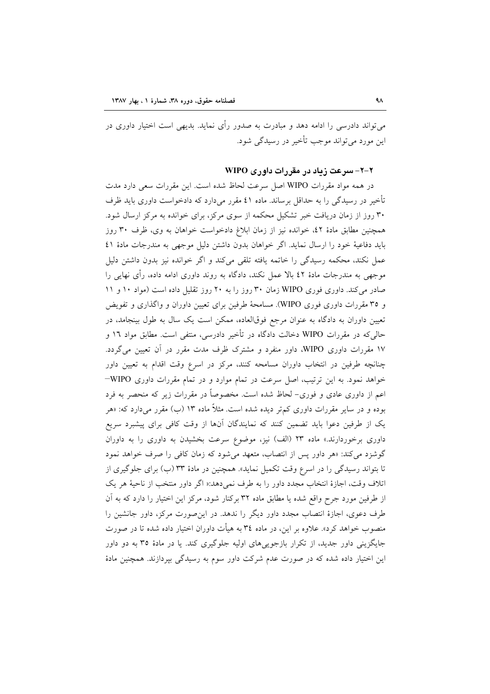می تواند دادرسی را ادامه دهد و مبادرت به صدور رأی نماید. بدیهی است اختیار داوری در این مورد می تواند موجب تأخیر در رسیدگی شود.

#### ۲-۲- سرعت زیاد در مقررات داوری WIPO

در همه مواد مقررات WIPO اصل سرعت لحاظ شده است. این مقررات سعی دارد مدت تأخیر در رسیدگی را به حداقل برساند. ماده ٤١ مقرر میدارد که دادخواست داوری باید ظرف ۳۰ روز از زمان دریافت خبر تشکیل محکمه از سوی مرکز، برای خوانده به مرکز ارسال شود. همچنین مطابق مادهٔ ٤٢، خوانده نیز از زمان ابلاغ دادخواست خواهان به وی، ظرف ٣٠ روز بايد دفاعية خود را ارسال نمايد. اگر خواهان بدون داشتن دليل موجهي به مندرجات مادهٔ ٤١ عمل نکند، محکمه رسیدگی را خاتمه یافته تلقی میکند و اگر خوانده نیز بدون داشتن دلیل موجهی به مندرجات مادهٔ ٤٢ بالا عمل نکند، دادگاه به روند داوری ادامه داده، رأی نهایی را صادر می کند. داوری فوری WIPO زمان ۳۰ روز را به ۲۰ روز تقلیل داده است (مواد ۱۰ و ۱۱ و ۳۵ مقررات داوری فوری WIPO). مسامحهٔ طرفین برای تعیین داوران و واگذاری و تفویض تعیین داوران به دادگاه به عنوان مرجع فوقالعاده، ممکن است یک سال به طول بینجامد، در حالی که در مقررات WIPO دخالت دادگاه در تأخیر دادرسی، منتفی است. مطابق مواد ۱۲ و ۱۷ مقررات داوری WIPO، داور منفرد و مشترک ظرف مدت مقرر در آن تعیین میگردد. چنانچه طرفین در انتخاب داوران مسامحه کنند، مرکز در اسرع وقت اقدام به تعیین داور خواهد نمود. به این ترتیب، اصل سرعت در تمام موارد و در تمام مقررات داوری WIPO-اعم از داوری عادی و فوری- لحاظ شده است. مخصوصاً در مقررات زیر که منحصر به فرد بوده و در سایر مقررات داوری کم تر دیده شده است. مثلاً ماده ۱۳ (ب) مقرر میدارد که: «هر یک از طرفین دعوا باید تضمین کنند که نمایندگان آنها از وقت کافی برای پیشبرد سریع داوری برخوردارند.» ماده ۲۳ (الف) نیز، موضوع سرعت بخشیدن به داوری را به داوران گوشزد می کند: «هر داور پس از انتصاب، متعهد می شود که زمان کافی را صرف خواهد نمود تا بتواند رسیدگی را در اسرع وقت تکمیل نماید». همچنین در مادهٔ ۳۳ (ب) برای جلوگیری از اتلاف وقت، اجازهٔ انتخاب مجدد داور را به طرف نمیدهد:« اگر داور منتخب از ناحیهٔ هر یک از طرفین مورد جرح واقع شده یا مطابق ماده ۳۲ برکنار شود، مرکز این اختیار را دارد که به آن طرف دعوی، اجازهٔ انتصاب مجدد داور دیگر را ندهد. در این صورت مرکز، داور جانشین را منصوب خواهد کرد». علاوه بر این، در ماده ۳٤ به هیأت داوران اختیار داده شده تا در صورت جایگزینی داور جدید، از تکرار بازجوییهای اولیه جلوگیری کند. یا در مادهٔ ۳۵ به دو داور این اختیار داده شده که در صورت عدم شرکت داور سوم به رسیدگی بیردازند. همچنین مادهٔ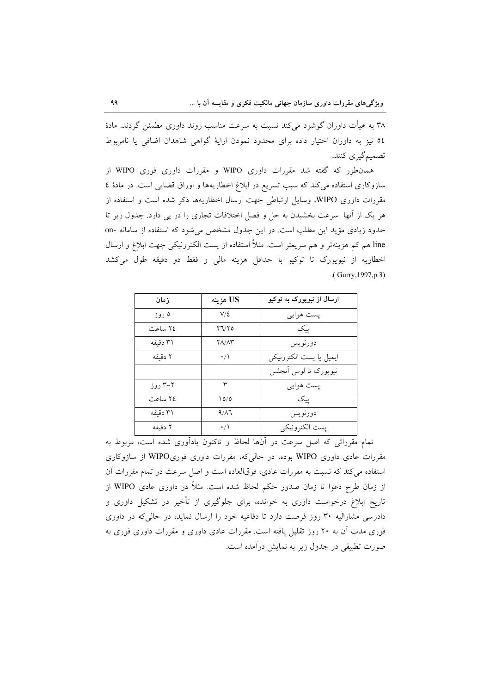۳۸ به هیأت داوران گوشزد می کند نسبت به سرعت مناسب روند داوری مطمئن گردند. مادهٔ ٥٤ نيز به داوران اختيار داده براي محدود نمودن اراية گواهي شاهدان اضافي يا نامربوط تصميم گيري كنند.

همان طور که گفته شد مقررات داوری WIPO و مقررات داوری فوری WIPO از سازوکاری استفاده میکند که سبب تسریع در ابلاغ اخطاریهها و اوراق قضایی است. در مادهٔ ٤ مقررات داوری WIPO، وسایل ارتباطی جهت ارسال اخطاریهها ذکر شده است و استفاده از هر یک از آنها ً سرعت بخشیدن به حل و فصل اختلافات تجاری را در پی دارد. جدول زیر تا حدود زیادی مؤید این مطلب است. در این جدول مشخص می شود که استفاده از سامانه -on line هم کم هزینهتر و هم سریعتر است. مثلاً استفاده از پست الکترونیکی جهت ابلاغ و ارسال اخطاريه از نيويورک تا توکيو با حداقل هزينه مالي و فقط دو دقيقه طول مي کشد .(Gurry, 1997, p.3)

| زمان                                         | US هزينه        | ارسال از نیویورک به توکیو |
|----------------------------------------------|-----------------|---------------------------|
| ۵ روز                                        | $V/\mathcal{L}$ | پست هوايي                 |
| ٢٤ ساعت                                      | ۲٦/۲٥           | ييک                       |
| ۳۱ دقىقە                                     | $Y/\Lambda Y$   | دورنويس                   |
| ۲ دقىقە                                      | $\cdot/$        | ايميل يا يست الكترونيكي   |
|                                              |                 | نيويورک تا لوس أنجلس      |
| $\cdot$ ; , , $\mathsf{r}\text{-}\mathsf{r}$ | ٣               | پست هوایی                 |
| ٢٤ ساعت                                      | 10/0            | یىک                       |
| ۳۱ دقىقە                                     | 9/17            | دورنويس                   |
| ۲ دقىقە                                      | $\cdot/$        | پست الكترونيكي            |

۔<br>تمام مقرراتی که اصل سرعت در آنها لحاظ و تاکنون یادآوری شده است، مربوط به مقررات عادی داوری WIPO بوده، در حالیکه، مقررات داوری فوریWIPO از سازوکاری استفاده می کند که نسبت به مقررات عادی، فوقالعاده است و اصل سرعت در تمام مقررات آن از زمان طرح دعوا تا زمان صدور حکم لحاظ شده است. مثلاً در داوری عادی WIPO از تاریخ ابلاغ درخواست داوری به خوانده، برای جلوگیری از تأخیر در تشکیل داوری و دادرسی مشارالیه ۳۰ روز فرصت دارد تا دفاعیه خود را ارسال نماید، در حالی که در داوری فوری مدت آن به ۲۰ روز تقلیل یافته است. مقررات عادی داوری و مقررات داوری فوری به صورت تطبیقی در جدول زیر به نمایش درآمده است.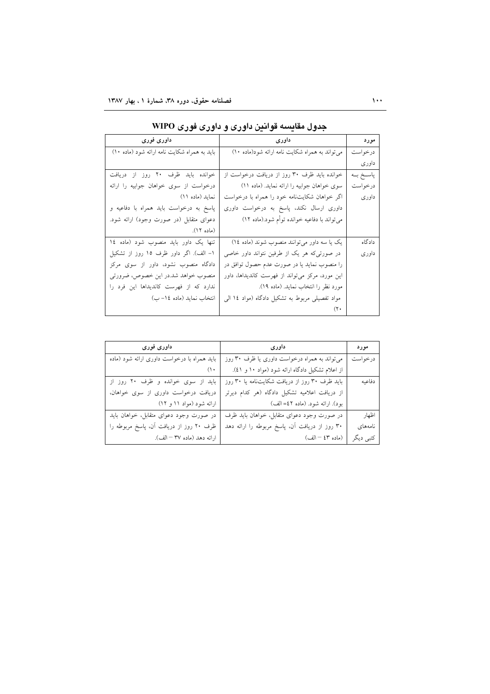| داوری فوری                                   | داورى                                           | مورد       |
|----------------------------------------------|-------------------------------------------------|------------|
| باید به همراه شکایت نامه ارائه شود (ماده ١٠) | می تواند به همراه شکایت نامه ارائه شود(ماده ۱۰) | درخواست    |
|                                              |                                                 | داورى      |
| خوانده باید ظرف ۲۰ روز از دریافت             | خوانده باید ظرف ۳۰ روز از دریافت درخواست از     | پاسـخ بــه |
| درخواست از سوى خواهان جوابيه را ارائه        | سوى خواهان جوابيه را ارائه نمايد. (ماده ١١)     | درخواست    |
| نماید (ماده ۱۱)                              | اگر خواهان شکایتنامه خود را همراه با درخواست    | داوري      |
| پاسخ به درخواست بايد همراه با دفاعيه و       | داوری ارسال نکند، پاسخ به درخواست داوری         |            |
| دعوای متقابل (در صورت وجود) ارائه شود.       | میتواند با دفاعیه خوانده توأم شود.(ماده ۱۲)     |            |
| (ماده ۱۲).                                   |                                                 |            |
| تنها یک داور باید منصوب شود (ماده ١٤         | یک یا سه داور میتوانند منصوب شوند (ماده ١٤)     | دادگاه     |
| ۱- الف). اگر داور ظرف ۱۵ روز از تشکیل        | در صورتیکه هر یک از طرفین نتواند داور خاصی      | داورى      |
| دادگاه منصوب نشود، داور از سوی مرکز          | را منصوب نماید یا در صورت عدم حصول توافق در     |            |
| منصوب خواهد شد.در این خصوص، ضرورتی           | این مورد، مرکز میتواند از فهرست کاندیداها، داور |            |
| ندارد كه از فهرست كانديداها اين فرد را       | مورد نظر را انتخاب نماید. (ماده ۱۹).            |            |
| انتخاب نماید (ماده ۱٤– ب)                    | مواد تفصیلی مربوط به تشکیل دادگاه (مواد ١٤ الی  |            |
|                                              |                                                 |            |

| جدول مقایسه قوانین داوری و داوری فوری WIPO |  |  |  |
|--------------------------------------------|--|--|--|

| داوری فوری                                  | داورى                                           | مورد      |
|---------------------------------------------|-------------------------------------------------|-----------|
| باید همراه با درخواست داوری ارائه شود (ماده | می تواند به همراه درخواست داوری یا ظرف ۳۰ روز   | درخواست   |
| (                                           | از اعلام تشکیل دادگاه ارائه شود (مواد ۱۰ و ٤١). |           |
| باید از سوی خوانده و ظرف ۲۰ روز از          | باید ظرف ۳۰ روز از دریافت شکایتنامه یا ۳۰ روز   | دفاعيه    |
| دریافت درخواست داوری از سوی خواهان،         | از دریافت اعلامیه تشکیل دادگاه (هر کدام دیرتر   |           |
| ارائه شود (مواد ۱۱ و ۱۲)                    | بود). ارائه شود. (ماده ٤٢= الف)                 |           |
| در صورت وجود دعواى متقابل، خواهان بايد      | در صورت وجود دعواى متقابل، خواهان بايد ظرف      | اظهار     |
| ظرف ۲۰ روز از دریافت اَن، پاسخ مربوطه را    | ۳۰ روز از دریافت آن، پاسخ مربوطه را ارائه دهد   | نامەھاي   |
| ارائه دهد (ماده ۳۷ – الف).                  | (ماده ٤٣ – الف)                                 | كتبي ديگر |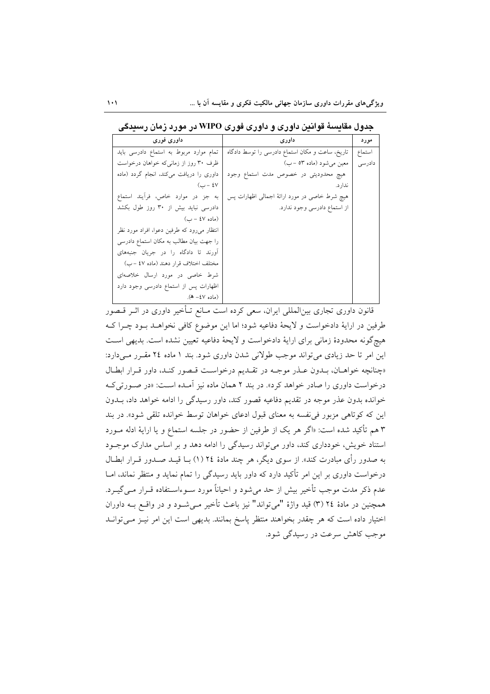| داوری فوری                                 | داورى                                           | مورد   |
|--------------------------------------------|-------------------------------------------------|--------|
| تمام موارد مربوط به استماع دادرسی باید     | تاریخ، ساعت و مکان استماع دادرسی را توسط دادگاه | استماع |
| ظرف ۳۰ روز از زمانیکه خواهان درخواست       | معین میشود (ماده ۵۳ –ب)                         | دادرسی |
| داوری را دریافت میکند، انجام گردد (ماده    | هیچ محدودیتی در خصوص مدت استماع وجود            |        |
| $(\csc 2V)$                                | ندار د.                                         |        |
| به جز در موارد خاص، فرأيند استماع          | هیچ شرط خاصی در مورد ارائهٔ اجمالی اظهارات پس   |        |
| دادرسی نباید بیش از ۳۰ روز طول بکشد        | از استماع دادرسی وجود ندارد.                    |        |
| (ماده ٤٧ – ب)                              |                                                 |        |
| انتظار مىرود كه طرفين دعوا، افراد مورد نظر |                                                 |        |
| را جهت بیان مطالب به مکان استماع دادرسی    |                                                 |        |
| آورند تا دادگاه را در جريان جنبههاى        |                                                 |        |
| مختلف اختلاف قرار دهند (ماده ٤٧ -ب)        |                                                 |        |
| شرط خاصی در مورد ارسال خلاصهای             |                                                 |        |
| اظهارات پس از استماع دادرسی وجود دارد      |                                                 |        |
| (ماده ٤٧- ه).                              |                                                 |        |

جدول مقایسهٔ قوانین داوری و داوری فوری WIPO در مورد زمان رسیدگی

قانون داوری تجاری بین|لمللی ایران، سعی کرده است مـانع تـأخیر داوری در اثـر قـصور طرفین در ارایهٔ دادخواست و لایحهٔ دفاعیه شود؛ اما این موضوع کافی نخواهـد بـود چـرا کـه هيج گونه محدودهٔ زماني براي ارايهٔ دادخواست و لايحهٔ دفاعيه تعيين نشده است. بديهي است این امر تا حد زیادی می تواند موجب طولانی شدن داوری شود. بند ۱ ماده ۲۶ مقـرر مـیدارد: «چنانچه خواهـان، بـدون عـذر موجـه در تقـديم درخواسـت قـصور كنـد، داور قـرار ابطـال درخواست داوري را صادر خواهد كرد». در بند ۲ همان ماده نيز آمـده اسـت: «در صـورتي كـه خوانده بدون عذر موجه در تقديم دفاعيه قصور كند، داور رسيدگي را ادامه خواهد داد، بـدون این که کوتاهی مزبور فی نفسه به معنای قبول ادعای خواهان توسط خوانده تلقی شود». در بند ۳ هم تأكيد شده است: «اگر هر يک از طرفين از حضور در جلسه استماع و يا ارايهٔ ادله مـورد استناد خویش، خودداری کند، داور می تواند رسیدگی را ادامه دهد و بر اساس مدارک موجـود به صدور رأى مبادرت كند». از سوى ديگر، هر چند مادهٔ ٢٤ (١) بــا قيــد صــدور قــرار ابطــال درخواست داوری بر این امر تأکید دارد که داور باید رسیدگی را تمام نماید و منتظر نماند، امــا عدم ذکر مدت موجب تأخیر بیش از حد میشود و احیاناً مورد سـوءاسـتفاده قــرار مــیگیــرد. همچنین در مادهٔ ٢٤ (٣) قید واژهٔ "میتواند" نیز باعث تأخیر مـیشـود و در واقــع بــه داوران اختیار داده است که هر چقدر بخواهند منتظر پاسخ بمانند. بدیهی است این امر نیـز مـیتوانـد موجب کاهش سرعت در رسیدگی شود.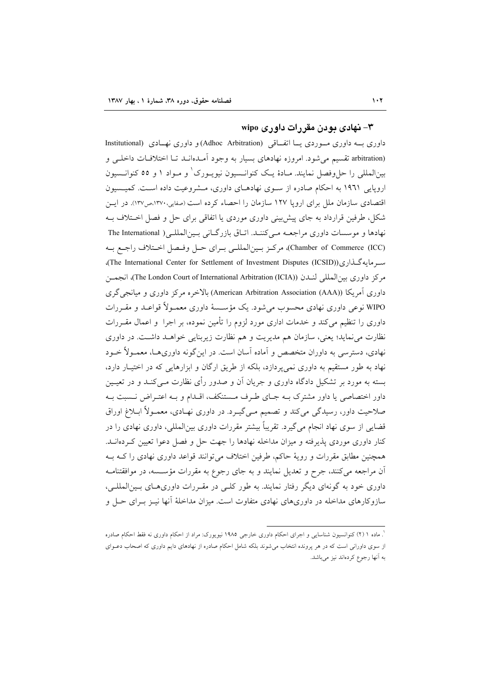# ۳- نهادی بودن مقررات داوری wipo

داوری بـــه داوری مـــوردی یـــا اتفـــاقی (Adhoc Arbitration) و داوری نهـــادی (Institutional arbitration) تقسیم میشود. امروزه نهادهای بسیار به وجود امـدهانــد تــا اختلافــات داخلــی و بینالمللی را حل٫فصل نمایند. مـادهٔ یـک کنوانــسیون نیویــورک ٰ و مــواد ۱ و ٥٥ کنوانــسیون اروپایی ۱۹۶۱ به احکام صادره از سـوی نهادهـای داوری، مـشروعیت داده اسـت. کمیـسیون اقتصادی سازمان ملل برای اروپا ۱۲۷ سازمان را احصاء کرده است (صفایی.۱۳۷۰،ص۱۳۷). در ایــن شکل، طرفین قرارداد به جای پیش بینی داوری موردی یا اتفاقی برای حل و فصل اخــتلاف بــه نهادها و موسسات داوری مراجعــه مـیکننــد. اتــاق بازرگــانی بــین|لمللــی( The International Chamber of Commerce (ICC)، مركـز بـينالمللـي بـراي حـل وفـصل اخـتلاف راجـع بــه سـرمايهگـذارى(The International Center for Settlement of Investment Disputes (ICSID)). مركز داورى بين|لمللي لنــدن (The London Court of International Arbitration (ICIA))، انجمــن داوری آمریکا (American Arbitration Association (AAA)) بالاخره مرکز داوری و میانجی گری WIPO نوعی داوری نهادی محسوب می شود. یک مؤسسهٔ داوری معمـولاً قواعـد و مقـررات داوری را تنظیم میکند و خدمات اداری مورد لزوم را تامین نموده، بر اجرا ً و اعمال مقــررات نظارت می $\,$ نماید؛ یعنی، سازمان هم مدیریت و هم نظارت زیربنایی خواهــد داشــت. در داوری نهادی، دسترسی به داوران متخصص و اماده اسان است. در اینگونه داوریهـا، معمـولا خــود نهاد به طور مستقیم به داوری نمی پردازد، بلکه از طریق ارگان و ابزارهایی که در اختیـار دارد، بسته به مورد بر تشکیل دادگاه داوری و جریان ان و صدور رای نظارت مــیکنــد و در تعیــین داور اختصاصی یا داور مشترک بــه جــای طــرف مــستنکف، اقــدام و بــه اعتــراض نــسبت بــه صلاحیت داور، رسیدگی میکند و تصمیم مـیگیــرد. در داوری نهــادی، معمــولا ابــلاغ اوراق قضایی از سوی نهاد انجام میگیرد. تقریبا بیشتر مقررات داوری بینالمللی، داوری نهادی را در کنار داوری موردی پذیرفته و میزان مداخله نهادها را جهت حل و فصل دعوا تعیین کـردهانــد. همچنین مطابق مقررات و رویهٔ حاکم، طرفین اختلاف میتوانند قواعد داوری نهادی را کـه بــه ان مراجعه میکنند، جرح و تعدیل نمایند و به جای رجوع به مقررات مؤســسه، در موافقتنامــه داوری خود به گونهای دیگر رفتار نمایند. به طور کلبی در مقـررات داوریهـای بـینالمللـی، سازوکارهای مداخله در داوریهای نهادی متفاوت است. میزان مداخلهٔ انها نیــز بــرای حــل و

<sup>&</sup>lt;sup>'</sup>. ماده ۱ (۲) کنوانسیون شناسایی و اجرای احکام داوری خارجی ۱۹۸۵ نیویورک: مراد از احکام داوری نه فقط احکام صادره از سوی داورانی است که در هر پرونده انتخاب میشوند بلکه شامل احکام صادره از نهادهای دایم داوری که اصحاب دعــوای به آنها رجوع كردهاند نيز ميباشد.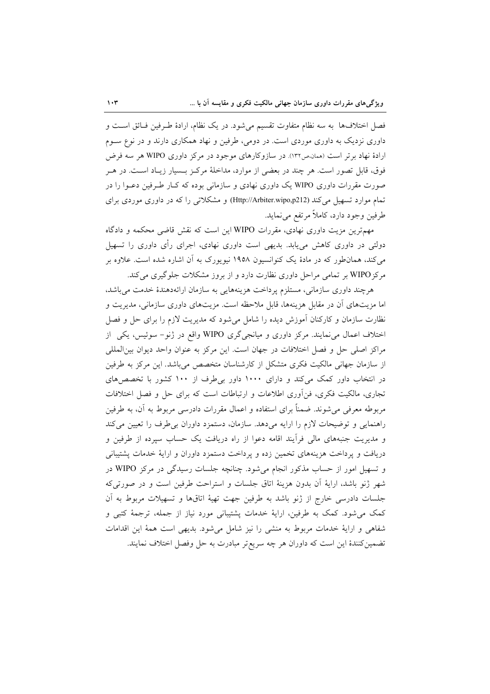فصل اختلافها به سه نظام متفاوت تقسیم می شود. در یک نظام، ارادهٔ طرفین فـائق اسـت و داوری نزدیک به داوری موردی است. در دومی، طرفین و نهاد همکاری دارند و در نوع سـوم ارادهٔ نهاد برتر است (ممان،ص۱۳۲). در سازوکارهای موجود در مرکز داوری WIPO هر سه فرض فوق، قابل تصور است. هر چند در بعضی از موارد، مداخلهٔ مرکـز بـسیار زیـاد اسـت. در هـر صورت مقررات داوری WIPO یک داوری نهادی و سازمانی بوده که کـار طـرفین دعـوا را در تمام موارد تسهیل می کند (Http://Arbiter.wipo,p212) و مشکلاتی را که در داوری موردی برای طرفين وجود دارد، كاملاً مرتفع مي نمايد.

مهمترین مزیت داوری نهادی، مقررات WIPO این است که نقش قاضی محکمه و دادگاه دولتی در داوری کاهش می،یابد. بدیهی است داوری نهادی، اجرای رأی داوری را تسهیل می کند، همان طور که در مادهٔ یک کنوانسیون ۱۹۵۸ نیویورک به آن اشاره شده است. علاوه بر مرکز WIPO بر تمامی مراحل داوری نظارت دارد و از بروز مشکلات جلوگیری می کند.

هرچند داوری سازمانی، مستلزم پرداخت هزینههایی به سازمان ارائهدهندهٔ خدمت میباشد، اما مزیتهای آن در مقابل هزینهها، قابل ملاحظه است. مزیتهای داوری سازمانی، مدیریت و نظارت سازمان و کارکنان آموزش دیده را شامل می شود که مدیریت لازم را برای حل و فصل اختلاف اعمال می نمایند. مرکز داوری و میانجیگری WIPO واقع در ژنو- سوئیس، یکی از مراكز اصلى حل و فصل اختلافات در جهان است. اين مركز به عنوان واحد ديوان بين|لمللي از سازمان جهانی مالکیت فکری متشکل از کارشناسان متخصص میباشد. این مرکز به طرفین در انتخاب داور کمک میکند و دارای ۱۰۰۰ داور بی طرف از ۱۰۰ کشور با تخصصهای تجاری، مالکیت فکری، فن آوری اطلاعات و ارتباطات است که برای حل و فصل اختلافات مربوطه معرفی میشوند. ضمناً برای استفاده و اعمال مقررات دادرسی مربوط به آن، به طرفین راهنمایی و توضیحات لازم را ارایه میدهد. سازمان، دستمزد داوران بی طرف را تعیین می کند و مدیریت جنبههای مالی فرأیند اقامه دعوا از راه دریافت یک حساب سپرده از طرفین و دریافت و پرداخت هزینههای تخمین زده و پرداخت دستمزد داوران و ارایهٔ خدمات پشتیبانی و تسهیل امور از حساب مذکور انجام می شود. چنانچه جلسات رسیدگی در مرکز WIPO در شهر ژنو باشد، ارایهٔ آن بدون هزینهٔ اتاق جلسات و استراحت طرفین است و در صورتی که جلسات دادرسی خارج از ژنو باشد به طرفین جهت تهیهٔ اتاقها و تسهیلات مربوط به آن کمک می شود. کمک به طرفین، ارایهٔ خدمات پشتیبانی مورد نیاز از جمله، ترجمهٔ کتبی و شفاهی و ارایهٔ خدمات مربوط به منشی را نیز شامل میشود. بدیهی است همهٔ این اقدامات تضمین کنندهٔ این است که داوران هر چه سریعتر مبادرت به حل وفصل اختلاف نمایند.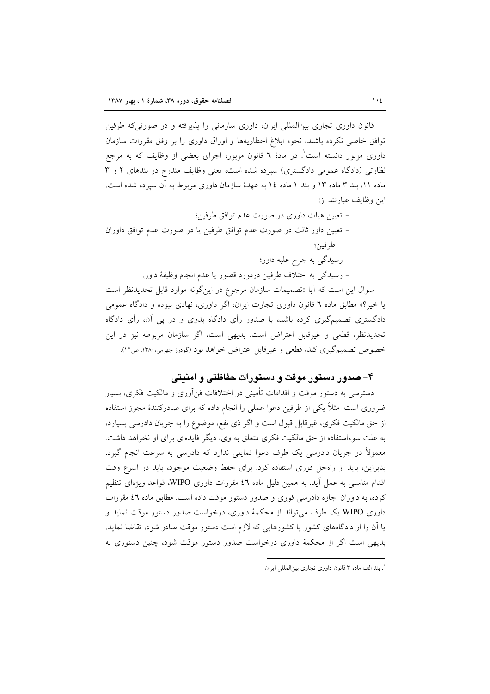قانون داوری تجاری بین|لمللی ایران، داوری سازمانی را پذیرفته و در صورتی که طرفین توافق خاصی نکرده باشند، نحوه ابلاغ اخطاریهها و اوراق داوری را بر وفق مقررات سازمان داوری مزبور دانسته است'. در مادهٔ ٦ قانون مزبور، اجرای بعضی از وظایف که به مرجع نظارتی (دادگاه عمومی دادگستری) سپرده شده است، یعنی وظایف مندرج در بندهای ۲ و ۳ ماده ۱۱، بند ۳ ماده ۱۳ و بند ۱ ماده ۱٤ به عهدهٔ سازمان داوری مربوط به آن سیرده شده است. اين وظايف عبارتند از:

– تعیین هیات داوری در صورت عدم توافق طرفین؛

– تعیین داور ثالث در صورت عدم توافق طرفین یا در صورت عدم توافق داوران طر فين؛

– رسیدگی به جرح علیه داور؛

– رسيدگي به اختلاف طرفين درمورد قصور يا عدم انجام وظيفة داور.

سوال این است که آیا «تصمیمات سازمان مرجوع در اینگونه موارد قابل تجدیدنظر است یا خیر؟» مطابق ماده ٦ قانون داوری تجارت ایران، اگر داوری، نهادی نبوده و دادگاه عمومی دادگستری تصمیمگیری کرده باشد، با صدور رأی دادگاه بدوی و در پی آن، رأی دادگاه تجدیدنظر، قطعی و غیرقابل اعتراض است. بدیهی است، اگر سازمان مربوطه نیز در این خصوص تصمیمگیری کند، قطعی و غیرقابل اعتراض خواهد بود (گودرز جهرمی،۱۳۸۰، ص۱۲).

#### ۴– صدور دستور موقت و دستورات حفاظتی و امنیتی

دسترسی به دستور موقت و اقدامات تأمینی در اختلافات فنآوری و مالکیت فکری، بسیار ضروری است. مثلاً یکی از طرفین دعوا عملی را انجام داده که برای صادرکنندهٔ مجوز استفاده از حق مالکیت فکری، غیرقابل قبول است و اگر ذی نفع، موضوع را به جریان دادرسی بسپارد، به علت سوءاستفاده از حق مالکیت فکری متعلق به وی، دیگر فایدهای برای او نخواهد داشت. معمولاً در جریان دادرسی یک طرف دعوا تمایلی ندارد که دادرسی به سرعت انجام گیرد. بنابراین، باید از راهحل فوری استفاده کرد. برای حفظ وضعیت موجود، باید در اسرع وقت اقدام مناسبی به عمل آید. به همین دلیل ماده ٤٦ مقررات داوری WIPO، قواعد ویژهای تنظیم کرده، به داوران اجازه دادرسی فوری و صدور دستور موقت داده است. مطابق ماده ٤٦ مقررات داوری WIPO یک طرف می تواند از محکمهٔ داوری، درخواست صدور دستور موقت نماید و یا آن را از دادگاههای کشور یا کشورهایی که لازم است دستور موقت صادر شود، تقاضا نماید. بدیهی است اگر از محکمهٔ داوری درخواست صدور دستور موقت شود، چنین دستوری به

<sup>`.</sup> بند الف ماده ۳ قانون داوری تجاری بینالمللی ایران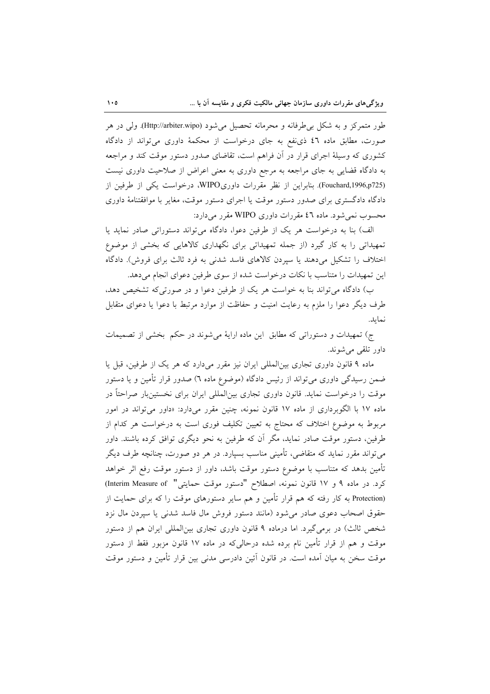طور متمرکز و به شکل بر طرفانه و محرمانه تحصیل می شود (Http://arbiter.wipo). ولی در هر صورت، مطابق ماده ٤٦ ذي نفع به جاي درخواست از محكمهٔ داوري مي تواند از دادگاه کشوری که وسیلهٔ اجرای قرار در أن فراهم است، تقاضای صدور دستور موقت کند و مراجعه به دادگاه قضایی به جای مراجعه به مرجع داوری به معنی اعراض از صلاحیت داوری نیست (Fouchard,1996,p725). بنابراین از نظر مقررات داوریWIPO، درخواست یکی از طرفین از دادگاه دادگستری برای صدور دستور موقت یا اجرای دستور موقت، مغایر با موافقتنامهٔ داوری محسوب نمی شود. ماده ٤٦ مقررات داوری WIPO مقرر میدارد:

الف) بنا به درخواست هر یک از طرفین دعوا، دادگاه می تواند دستوراتی صادر نماید یا تمهیداتی را به کار گیرد (از جمله تمهیداتی برای نگهداری کالاهایی که بخشی از موضوع اختلاف را تشکیل میدهند یا سیردن کالاهای فاسد شدنی به فرد ثالث برای فروش). دادگاه این تمهیدات را متناسب با نکات درخواست شده از سوی طرفین دعوای انجام می دهد.

ب) دادگاه می تواند بنا به خواست هر یک از طرفین دعوا و در صورتی که تشخیص دهد، طرف دیگر دعوا را ملزم به رعایت امنیت و حفاظت از موارد مرتبط با دعوا یا دعوای متقابل نمايد.

ج) تمهیدات و دستوراتی که مطابق این ماده ارایهٔ میشوند در حکم بخشی از تصمیمات داور تلقى مى شوند.

ماده ۹ قانون داوری تجاری بینالمللی ایران نیز مقرر میدارد که هر یک از طرفین، قبل یا ضمن رسیدگی داوری میتواند از رئیس دادگاه (موضوع ماده ٦) صدور قرار تأمین و یا دستور موقت را درخواست نماید. قانون داوری تجاری بین|لمللی ایران برای نخستینبار صراحتاً در ماده ۱۷ با الگوبرداری از ماده ۱۷ قانون نمونه، چنین مقرر میدارد: «داور میتواند در امور مربوط به موضوع اختلاف که محتاج به تعیین تکلیف فوری است به درخواست هر کدام از طرفین، دستور موقت صادر نماید، مگر آن که طرفین به نحو دیگری توافق کرده باشند. داور میتواند مقرر نماید که متقاضی، تأمینی مناسب بسپارد. در هر دو صورت، چنانچه طرف دیگر تأمین بدهد که متناسب با موضوع دستور موقت باشد، داور از دستور موقت رفع اثر خواهد كرد. در ماده ۹ و ۱۷ قانون نمونه، اصطلاح "دستور موقت حمايتي" (Interim Measure of) (Protection به کار رفته که هم قرار تأمین و هم سایر دستورهای موقت را که برای حمایت از حقوق اصحاب دعوى صادر مى شود (مانند دستور فروش مال فاسد شدنى يا سپردن مال نزد شخص ثالث) در برمیگیرد. اما درماده ۹ قانون داوری تجاری بینالمللی ایران هم از دستور موقت و هم از قرار تأمین نام برده شده درحالی که در ماده ۱۷ قانون مزبور فقط از دستور موقت سخن به میان آمده است. در قانون اَئین دادرسی مدنی بین قرار تأمین و دستور موقت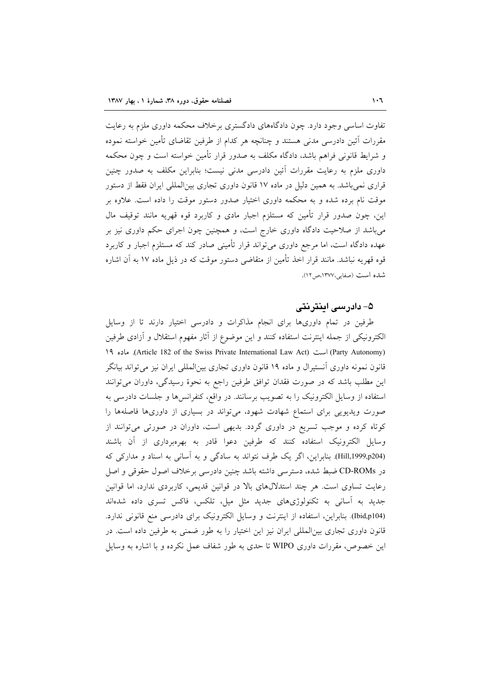تفاوت اساسی وجود دارد. چون دادگاههای دادگستری برخلاف محکمه داوری ملزم به رعایت مقررات أئين دادرسي مدنى هستند و چنانچه هر كدام از طرفين تقاضاي تأمين خواسته نموده و شرایط قانونی فراهم باشد، دادگاه مکلف به صدور قرار تأمین خواسته است و چون محکمه داوری ملزم به رعایت مقررات آئین دادرسی مدنی نیست؛ بنابراین مکلف به صدور چنین قراری نمی باشد. به همین دلیل در ماده ۱۷ قانون داوری تجاری بین|لمللی ایران فقط از دستور موقت نام برده شده و به محکمه داوری اختیار صدور دستور موقت را داده است. علاوه بر این، چون صدور قرار تأمین که مستلزم اجبار مادی و کاربرد قوه قهریه مانند توقیف مال میباشد از صلاحیت دادگاه داوری خارج است، و همچنین چون اجرای حکم داوری نیز بر عهده دادگاه است، اما مرجع داوری میتواند قرار تأمینی صادر کند که مستلزم اجبار و کاربرد قوه قهریه نباشد. مانند قرار اخذ تأمین از متقاضی دستور موقت که در ذیل ماده ۱۷ به آن اشاره شده است (صفایی،۱۳۷۷،ص۱۲).

# ۵– دادر سے اینتریتے

طرفین در تمام داوریها برای انجام مذاکرات و دادرسی اختیار دارند تا از وسایل الكترونيكي از جمله اينترنت استفاده كنند و اين موضوع از آثار مفهوم استقلال و آزادي طرفين (Party Autonomy) است (Article 182 of the Swiss Private International Law Act). ماده ١٩ قانون نمونه داوری اَنستیرال و ماده ۱۹ قانون داوری تجاری بین|لمللی ایران نیز میتواند بیانگر این مطلب باشد که در صورت فقدان توافق طرفین راجع به نحوهٔ رسیدگی، داوران میتوانند استفاده از وسایل الکترونیک را به تصویب برسانند. در واقع، کنفرانسها و جلسات دادرسی به صورت ویدیویی برای استماع شهادت شهود، می تواند در بسیاری از داوریها فاصلهها را کوتاه کرده و موجب تسریع در داوری گردد. بدیهی است، داوران در صورتی میتوانند از وسایل الکترونیک استفاده کنند که طرفین دعوا قادر به بهرهبرداری از آن باشند (Hill,1999,p204) بنابراین، اگر یک طرف نتواند به سادگی و به آسانی به اسناد و مدارکی که در CD-ROMs ضبط شده، دسترسی داشته باشد چنین دادرسی برخلاف اصول حقوقی و اصل رعایت تساوی است. هر چند استدلالهای بالا در قوانین قدیمی، کاربردی ندارد، اما قوانین جدید به آسانی به تکنولوژیهای جدید مثل میل، تلکس، فاکس تسری داده شدهاند (Ibid,p104). بنابراین، استفاده از اینترنت و وسایل الکترونیک برای دادرسی منع قانونی ندارد. قانون داوری تجاری بینالمللی ایران نیز این اختیار را به طور ضمنی به طرفین داده است. در این خصوص، مقررات داوری WIPO تا حدی به طور شفاف عمل نکرده و با اشاره به وسایل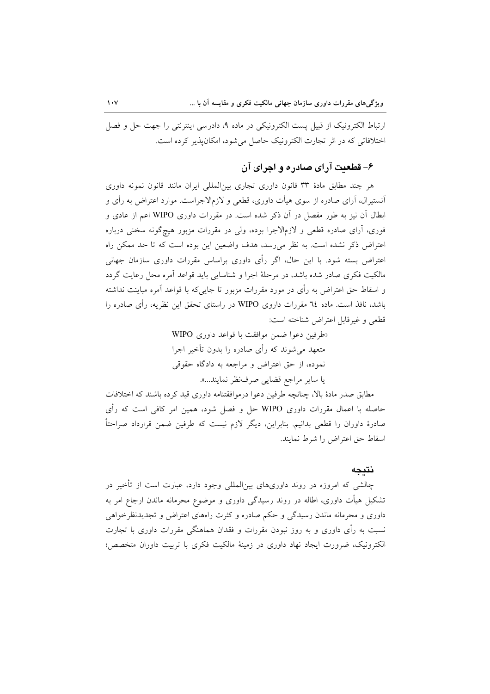ارتباط الكترونيك از قبيل پست الكترونيكي در ماده ۹، دادرسي اينترنتي را جهت حل و فصل اختلافاتی که در اثر تجارت الکترونیک حاصل می شود، امکان پذیر کرده است.

# ۶- قطعيت آراي صادر ه و اچراي آن

هر چند مطابق مادهٔ ۳۳ قانون داوری تجاری بینالمللی ایران مانند قانون نمونه داوری آنستیرال، آرای صادره از سوی هیأت داوری، قطعی و لازمالاجراست. موارد اعتراض به رأی و ابطال آن نیز به طور مفصل در آن ذکر شده است. در مقررات داوری WIPO اعم از عادی و فوري، آراي صادره قطعي و لازمالاجرا بوده، ولي در مقررات مزبور هيچگونه سخني درباره اعتراض ذکر نشده است. به نظر می رسد، هدف واضعین این بوده است که تا حد ممکن راه اعتراض بسته شود. با این حال، اگر رأی داوری براساس مقررات داوری سازمان جهانی مالکیت فکری صادر شده باشد، در مرحلهٔ اجرا و شناسایی باید قواعد آمره محل رعایت گردد و اسقاط حق اعتراض به رأی در مورد مقررات مزبور تا جایی۵که با قواعد آمره مباینت نداشته باشد، نافذ است. ماده ۲٤ مقررات داروی WIPO در راستای تحقق این نظریه، رأی صادره را قطعي و غيرقابل اعتراض شناخته است:

> «طرفين دعوا ضمن موافقت با قواعد داوري WIPO متعهد می شوند که رأی صادره را بدون تأخیر اجرا نموده، از حق اعتراض و مراجعه به دادگاه حقوقی يا ساير مراجع قضايي صرف نظر نمايند...».

مطابق صدر مادهٔ بالا، چنانچه طرفین دعوا درموافقتنامه داوری قید کرده باشند که اختلافات حاصله با اعمال مقررات داوری WIPO حل و فصل شود، همین امر کافی است که رأی صادرهٔ داوران را قطعی بدانیم. بنابراین، دیگر لازم نیست که طرفین ضمن قرارداد صراحتاً اسقاط حق اعتراض را شرط نمايند.

#### نتىجە

چالشی که امروزه در روند داوریهای بین|لمللی وجود دارد، عبارت است از تأخیر در تشکیل هیأت داوری، اطاله در روند رسیدگی داوری و موضوع محرمانه ماندن ارجاع امر به داوری و محرمانه ماندن رسیدگی و حکم صادره و کثرت راههای اعتراض و تجدیدنظرخواهی نسبت به رأی داوری و به روز نبودن مقررات و فقدان هماهنگی مقررات داوری با تجارت الكترونيك، ضرورت ايجاد نهاد داوري در زمينهٔ مالكيت فكرى با تربيت داوران متخصص؛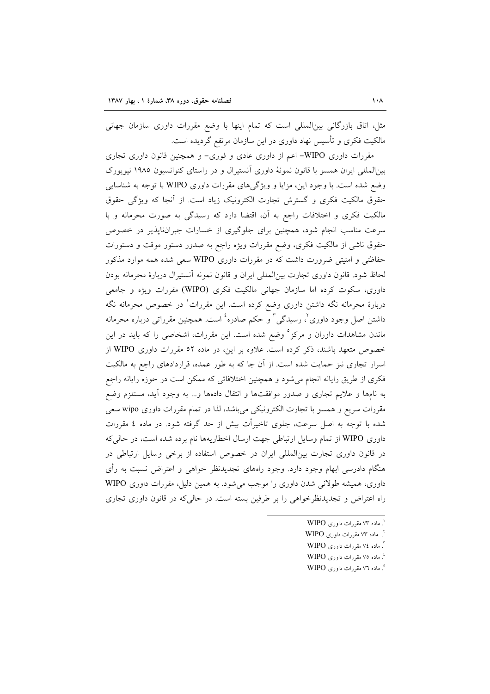مثل، اتاق بازرگانی بین|لمللی است که تمام اینها با وضع مقررات داوری سازمان جهانی مالکیت فکری و تأسیس نهاد داوری در این سازمان مرتفع گردیده است.

مقررات داوری WIPO- اعم از داوری عادی و فوری- و همچنین قانون داوری تجاری بینالمللی ایران همسو با قانون نمونهٔ داوری آنستیرال و در راستای کنوانسیون ۱۹۸۵ نیویورک وضع شده است. با وجود این، مزایا و ویژگیهای مقررات داوری WIPO با توجه به شناسایی حقوق مالکیت فکری و گسترش تجارت الکترونیک زیاد است. از آنجا که ویژگی حقوق مالکیت فکری و اختلافات راجع به آن، اقتضا دارد که رسیدگی به صورت محرمانه و با سرعت مناسب انجام شود، همچنین برای جلوگیری از خسارات جبران،ناپذیر در خصوص حقوق ناشی از مالکیت فکری، وضع مقررات ویژه راجع به صدور دستور موقت و دستورات حفاظتی و امنیتی ضرورت داشت که در مقررات داوری WIPO سعی شده همه موارد مذکور لحاظ شود. قانون داوری تجارت بین|لمللی ایران و قانون نمونه آنستیرال دربارهٔ محرمانه بودن داوری، سکوت کرده اما سازمان جهانی مالکیت فکری (WIPO) مقررات ویژه و جامعی دربارهٔ محرمانه نگه داشتن داوری وضع کرده است. این مقررات<sup>\</sup> در خصوص محرمانه نگه داشتن اصل وجود داوريٌ ، رسيدگي ؓ و حکم صادره ٔ است. همچنين مقرراتي درباره محرمانه ماندن مشاهدات داوران و مرکز<sup>ه</sup> وضع شده است. این مقررات، اشخاصی را که باید در این خصوص متعهد باشند، ذکر کرده است. علاوه بر این، در ماده ٥٢ مقررات داوری WIPO از اسرار تجاری نیز حمایت شده است. از آن جا که به طور عمده، قراردادهای راجع به مالکیت فکری از طریق رایانه انجام میشود و همچنین اختلافاتی که ممکن است در حوزه رایانه راجع به نامها و علایم تجاری و صدور موافقتها و انتقال دادهها و… به وجود آید، مستلزم وضع مقررات سریع و همسو با تجارت الکترونیکی میباشد، لذا در تمام مقررات داوری wipo سعی شده با توجه به اصل سرعت، جلوی تاخیرأت بیش از حد گرفته شود. در ماده ٤ مقررات داوری WIPO از تمام وسایل ارتباطی جهت ارسال اخطاریهها نام برده شده است، در حالی که در قانون داوری تجارت بین المللی ایران در خصوص استفاده از برخی وسایل ارتباطی در هنگام دادرسی ابهام وجود دارد. وجود راههای تجدیدنظر خواهی و اعتراض نسبت به رأی داوري، هميشه طولاني شدن داوري را موجب مي شود. به همين دليل، مقررات داوري WIPO راه اعتراض و تجدیدنظرخواهی را بر طرفین بسته است. در حالی که در قانون داوری تجاری

°. ماده ۷۲ مقررات داوری WIPO

 $'$ . ماده ۷۳ مقررات داوری WIPO

۲. ماده ۷۳ مقررات داوری WIPO

<sup>&</sup>lt;sup>"</sup>. ماده ٧٤ مقررات داوري WIPO

<sup>&</sup>lt;sup>؛</sup>. ماده ۷۵ مقررات داوری WIPO